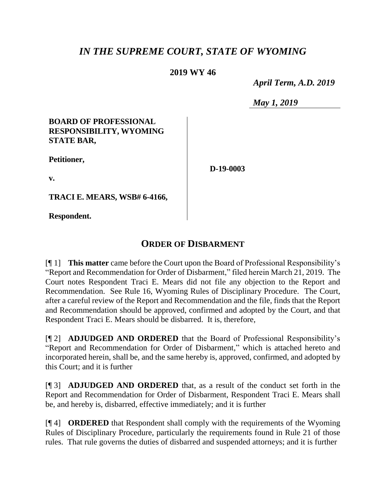# *IN THE SUPREME COURT, STATE OF WYOMING*

# **2019 WY 46**

 *April Term, A.D. 2019*

*May 1, 2019*

## **BOARD OF PROFESSIONAL RESPONSIBILITY, WYOMING STATE BAR,**

**Petitioner,**

**D-19-0003**

**v.**

**TRACI E. MEARS, WSB# 6-4166,**

**Respondent.**

# **ORDER OF DISBARMENT**

[¶ 1] **This matter** came before the Court upon the Board of Professional Responsibility's "Report and Recommendation for Order of Disbarment," filed herein March 21, 2019. The Court notes Respondent Traci E. Mears did not file any objection to the Report and Recommendation. See Rule 16, Wyoming Rules of Disciplinary Procedure. The Court, after a careful review of the Report and Recommendation and the file, finds that the Report and Recommendation should be approved, confirmed and adopted by the Court, and that Respondent Traci E. Mears should be disbarred. It is, therefore,

[¶ 2] **ADJUDGED AND ORDERED** that the Board of Professional Responsibility's "Report and Recommendation for Order of Disbarment," which is attached hereto and incorporated herein, shall be, and the same hereby is, approved, confirmed, and adopted by this Court; and it is further

[¶ 3] **ADJUDGED AND ORDERED** that, as a result of the conduct set forth in the Report and Recommendation for Order of Disbarment, Respondent Traci E. Mears shall be, and hereby is, disbarred, effective immediately; and it is further

[¶ 4] **ORDERED** that Respondent shall comply with the requirements of the Wyoming Rules of Disciplinary Procedure, particularly the requirements found in Rule 21 of those rules. That rule governs the duties of disbarred and suspended attorneys; and it is further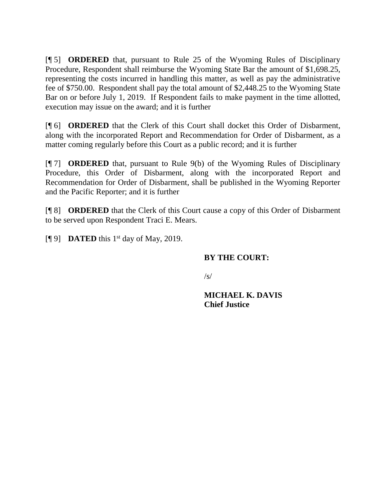[¶ 5] **ORDERED** that, pursuant to Rule 25 of the Wyoming Rules of Disciplinary Procedure, Respondent shall reimburse the Wyoming State Bar the amount of \$1,698.25, representing the costs incurred in handling this matter, as well as pay the administrative fee of \$750.00. Respondent shall pay the total amount of \$2,448.25 to the Wyoming State Bar on or before July 1, 2019. If Respondent fails to make payment in the time allotted, execution may issue on the award; and it is further

[¶ 6] **ORDERED** that the Clerk of this Court shall docket this Order of Disbarment, along with the incorporated Report and Recommendation for Order of Disbarment, as a matter coming regularly before this Court as a public record; and it is further

[¶ 7] **ORDERED** that, pursuant to Rule 9(b) of the Wyoming Rules of Disciplinary Procedure, this Order of Disbarment, along with the incorporated Report and Recommendation for Order of Disbarment, shall be published in the Wyoming Reporter and the Pacific Reporter; and it is further

[¶ 8] **ORDERED** that the Clerk of this Court cause a copy of this Order of Disbarment to be served upon Respondent Traci E. Mears.

 $[$ [9] **DATED** this 1<sup>st</sup> day of May, 2019.

## **BY THE COURT:**

 $\sqrt{s/}$ 

**MICHAEL K. DAVIS Chief Justice**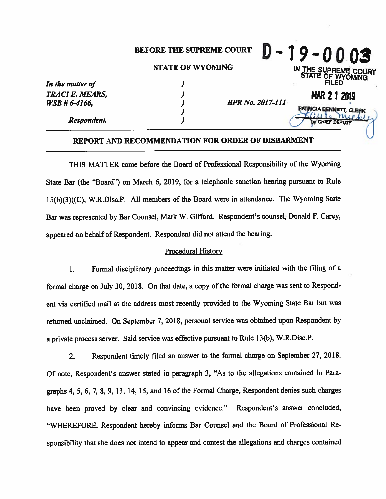|                                  | BEFORE THE SUPREME COURT |                         | $D - 19 - 0003$                                       |
|----------------------------------|--------------------------|-------------------------|-------------------------------------------------------|
|                                  | <b>STATE OF WYOMING</b>  |                         | IN THE SUPREME COURT<br>STATE OF WYOMING              |
| In the matter of                 |                          |                         | <b>FILED</b>                                          |
| TRACI E. MEARS,<br>WSB # 6-4166, |                          | <b>BPR No. 2017-111</b> | <b>MAR 2 1 2019</b><br><b>PATRICIA BENNETT, CLERK</b> |
| Respondent.                      |                          |                         | CHIEF DEPUTY                                          |

### REPORT AND RECOMMENDATION FOR ORDER OF DISBARMENT

THIS MATTER came before the Board of Professional Responsibility of the Wyoming State Bar (the "Board") on March 6, 2019, for a telephonic sanction hearing pursuant to Rule 15(b)(3)((C), W.R.Disc.P. All members of the Board were in attendance. The Wyoming State Bar was represented by Bar Counsel, Mark W. Gifford. Respondent's counsel, Donald F. Carey, appeared on behalf of Respondent. Respondent did not attend the hearing.

#### **Procedural History**

Formal disciplinary proceedings in this matter were initiated with the filing of a 1. formal charge on July 30, 2018. On that date, a copy of the formal charge was sent to Respondent via certified mail at the address most recently provided to the Wyoming State Bar but was returned unclaimed. On September 7, 2018, personal service was obtained upon Respondent by a private process server. Said service was effective pursuant to Rule 13(b), W.R.Disc.P.

Respondent timely filed an answer to the formal charge on September 27, 2018.  $2.$ Of note, Respondent's answer stated in paragraph 3, "As to the allegations contained in Paragraphs 4, 5, 6, 7, 8, 9, 13, 14, 15, and 16 of the Formal Charge, Respondent denies such charges have been proved by clear and convincing evidence." Respondent's answer concluded, "WHEREFORE, Respondent hereby informs Bar Counsel and the Board of Professional Responsibility that she does not intend to appear and contest the allegations and charges contained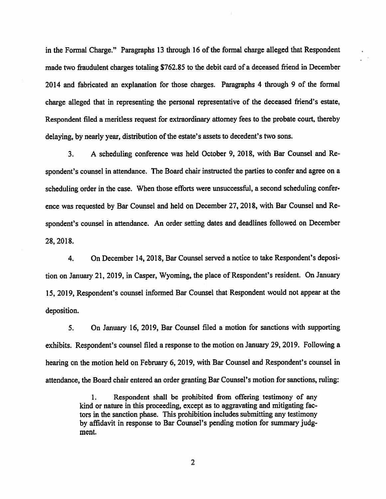in the Formal Charge." Paragraphs 13 through 16 of the formal charge alleged that Respondent made two fraudulent charges totaling \$762.85 to the debit card of a deceased friend in December 2014 and fabricated an explanation for those charges. Paragraphs 4 through 9 of the formal charge alleged that in representing the personal representative of the deceased friend's estate, Respondent filed a meritless request for extraordinary attorney fees to the probate court, thereby delaying, by nearly year, distribution of the estate's assets to decedent's two sons.

 $3<sub>1</sub>$ A scheduling conference was held October 9, 2018, with Bar Counsel and Respondent's counsel in attendance. The Board chair instructed the parties to confer and agree on a scheduling order in the case. When those efforts were unsuccessful, a second scheduling conference was requested by Bar Counsel and held on December 27, 2018, with Bar Counsel and Respondent's counsel in attendance. An order setting dates and deadlines followed on December 28, 2018.

On December 14, 2018, Bar Counsel served a notice to take Respondent's deposi-4. tion on January 21, 2019, in Casper, Wyoming, the place of Respondent's resident. On January 15, 2019, Respondent's counsel informed Bar Counsel that Respondent would not appear at the deposition.

On January 16, 2019, Bar Counsel filed a motion for sanctions with supporting 5. exhibits. Respondent's counsel filed a response to the motion on January 29, 2019. Following a hearing on the motion held on February 6, 2019, with Bar Counsel and Respondent's counsel in attendance, the Board chair entered an order granting Bar Counsel's motion for sanctions, ruling:

> Respondent shall be prohibited from offering testimony of any kind or nature in this proceeding, except as to aggravating and mitigating factors in the sanction phase. This prohibition includes submitting any testimony by affidavit in response to Bar Counsel's pending motion for summary judgment.

> > $\overline{2}$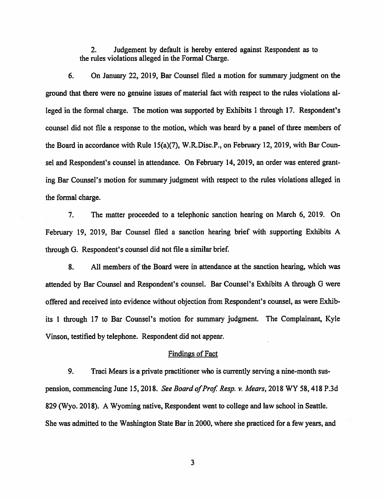Judgement by default is hereby entered against Respondent as to  $\overline{2}$ . the rules violations alleged in the Formal Charge.

6. On January 22, 2019, Bar Counsel filed a motion for summary judgment on the ground that there were no genuine issues of material fact with respect to the rules violations alleged in the formal charge. The motion was supported by Exhibits 1 through 17. Respondent's counsel did not file a response to the motion, which was heard by a panel of three members of the Board in accordance with Rule 15(a)(7), W.R.Disc.P., on February 12, 2019, with Bar Counsel and Respondent's counsel in attendance. On February 14, 2019, an order was entered granting Bar Counsel's motion for summary judgment with respect to the rules violations alleged in the formal charge.

7. The matter proceeded to a telephonic sanction hearing on March 6, 2019. On February 19, 2019, Bar Counsel filed a sanction hearing brief with supporting Exhibits A through G. Respondent's counsel did not file a similar brief.

8. All members of the Board were in attendance at the sanction hearing, which was attended by Bar Counsel and Respondent's counsel. Bar Counsel's Exhibits A through G were offered and received into evidence without objection from Respondent's counsel, as were Exhibits 1 through 17 to Bar Counsel's motion for summary judgment. The Complainant, Kyle Vinson, testified by telephone. Respondent did not appear.

#### **Findings of Fact**

9. Traci Mears is a private practitioner who is currently serving a nine-month suspension, commencing June 15, 2018. See Board of Prof. Resp. v. Mears, 2018 WY 58, 418 P.3d 829 (Wyo. 2018). A Wyoming native, Respondent went to college and law school in Seattle. She was admitted to the Washington State Bar in 2000, where she practiced for a few years, and

3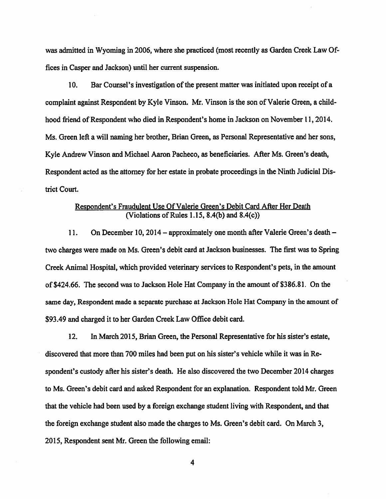was admitted in Wyoming in 2006, where she practiced (most recently as Garden Creek Law Offices in Casper and Jackson) until her current suspension.

Bar Counsel's investigation of the present matter was initiated upon receipt of a  $10.$ complaint against Respondent by Kyle Vinson. Mr. Vinson is the son of Valerie Green, a childhood friend of Respondent who died in Respondent's home in Jackson on November 11, 2014. Ms. Green left a will naming her brother, Brian Green, as Personal Representative and her sons, Kyle Andrew Vinson and Michael Aaron Pacheco, as beneficiaries. After Ms. Green's death, Respondent acted as the attorney for her estate in probate proceedings in the Ninth Judicial District Court.

### Respondent's Fraudulent Use Of Valerie Green's Debit Card After Her Death (Violations of Rules 1.15, 8.4(b) and 8.4(c))

On December 10, 2014 – approximately one month after Valerie Green's death – 11. two charges were made on Ms. Green's debit card at Jackson businesses. The first was to Spring Creek Animal Hospital, which provided veterinary services to Respondent's pets, in the amount of \$424.66. The second was to Jackson Hole Hat Company in the amount of \$386.81. On the same day, Respondent made a separate purchase at Jackson Hole Hat Company in the amount of \$93.49 and charged it to her Garden Creek Law Office debit card.

 $12.$ In March 2015, Brian Green, the Personal Representative for his sister's estate, discovered that more than 700 miles had been put on his sister's vehicle while it was in Respondent's custody after his sister's death. He also discovered the two December 2014 charges to Ms. Green's debit card and asked Respondent for an explanation. Respondent told Mr. Green that the vehicle had been used by a foreign exchange student living with Respondent, and that the foreign exchange student also made the charges to Ms. Green's debit card. On March 3, 2015, Respondent sent Mr. Green the following email:

 $\overline{\mathbf{4}}$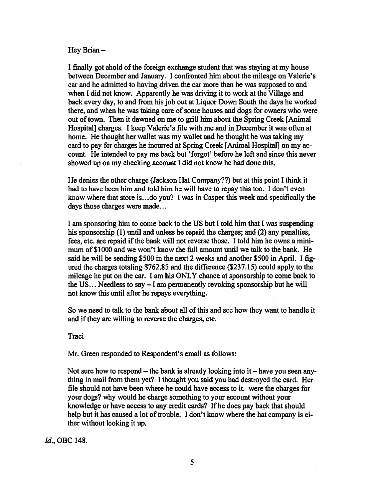#### Hey Brian-

I finally got ahold of the foreign exchange student that was staying at my house between December and January. I confronted him about the mileage on Valerie's car and he admitted to having driven the car more than he was supposed to and when I did not know. Apparently he was driving it to work at the Village and back every day, to and from his job out at Liquor Down South the days he worked there, and when he was taking care of some houses and dogs for owners who were out of town. Then it dawned on me to grill him about the Spring Creek [Animal] Hospital] charges. I keep Valerie's file with me and in December it was often at home. He thought her wallet was my wallet and he thought he was taking my card to pay for charges he incurred at Spring Creek [Animal Hospital] on my account. He intended to pay me back but 'forgot' before he left and since this never showed up on my checking account I did not know he had done this.

He denies the other charge (Jackson Hat Company??) but at this point I think it had to have been him and told him he will have to repay this too. I don't even know where that store is...do you? I was in Casper this week and specifically the days those charges were made...

I am sponsoring him to come back to the US but I told him that I was suspending his sponsorship (1) until and unless he repaid the charges; and (2) any penalties, fees, etc. are repaid if the bank will not reverse those. I told him he owns a minimum of \$1000 and we won't know the full amount until we talk to the bank. He said he will be sending \$500 in the next 2 weeks and another \$500 in April. I figured the charges totaling \$762.85 and the difference (\$237.15) could apply to the mileage he put on the car. I am his ONLY chance at sponsorship to come back to the US... Needless to say  $-1$  am permanently revoking sponsorship but he will not know this until after he repays everything.

So we need to talk to the bank about all of this and see how they want to handle it and if they are willing to reverse the charges, etc.

Traci

Mr. Green responded to Respondent's email as follows:

Not sure how to respond  $-$  the bank is already looking into it  $-$  have you seen anything in mail from them yet? I thought you said you had destroyed the card. Her file should not have been where he could have access to it. were the charges for your dogs? why would he charge something to your account without your knowledge or have access to any credit cards? If he does pay back that should help but it has caused a lot of trouble. I don't know where the hat company is either without looking it up.

Id., OBC 148.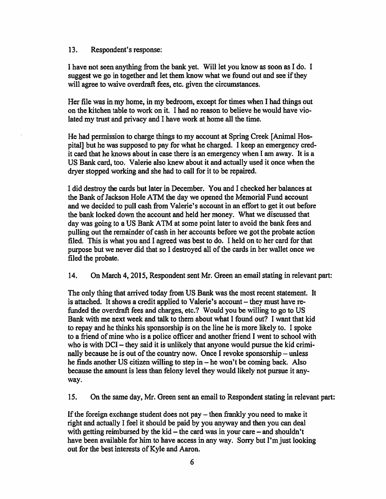#### 13. Respondent's response:

I have not seen anything from the bank yet. Will let you know as soon as I do. I suggest we go in together and let them know what we found out and see if they will agree to waive overdraft fees, etc. given the circumstances.

Her file was in my home, in my bedroom, except for times when I had things out on the kitchen table to work on it. I had no reason to believe he would have violated my trust and privacy and I have work at home all the time.

He had permission to charge things to my account at Spring Creek [Animal Hospitall but he was supposed to pay for what he charged. I keep an emergency credit card that he knows about in case there is an emergency when I am away. It is a US Bank card, too. Valerie also knew about it and actually used it once when the dryer stopped working and she had to call for it to be repaired.

I did destroy the cards but later in December. You and I checked her balances at the Bank of Jackson Hole ATM the day we opened the Memorial Fund account and we decided to pull cash from Valerie's account in an effort to get it out before the bank locked down the account and held her money. What we discussed that day was going to a US Bank ATM at some point later to avoid the bank fees and pulling out the remainder of cash in her accounts before we got the probate action filed. This is what you and I agreed was best to do. I held on to her card for that purpose but we never did that so I destroyed all of the cards in her wallet once we filed the probate.

 $14.$ On March 4, 2015, Respondent sent Mr. Green an email stating in relevant part:

The only thing that arrived today from US Bank was the most recent statement. It is attached. It shows a credit applied to Valerie's account – they must have refunded the overdraft fees and charges, etc.? Would you be willing to go to US Bank with me next week and talk to them about what I found out? I want that kid to repay and he thinks his sponsorship is on the line he is more likely to. I spoke to a friend of mine who is a police officer and another friend I went to school with who is with DCI – they said it is unlikely that anyone would pursue the kid criminally because he is out of the country now. Once I revoke sponsorship – unless he finds another US citizen willing to step in – he won't be coming back. Also because the amount is less than felony level they would likely not pursue it anyway.

15. On the same day, Mr. Green sent an email to Respondent stating in relevant part:

If the foreign exchange student does not pay – then frankly you need to make it right and actually I feel it should be paid by you anyway and then you can deal with getting reimbursed by the kid - the card was in your care - and shouldn't have been available for him to have access in any way. Sorry but I'm just looking out for the best interests of Kyle and Aaron.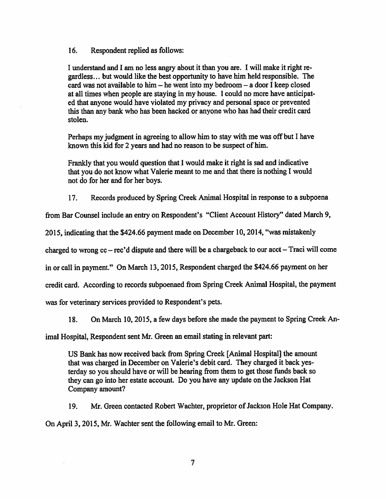16. Respondent replied as follows:

I understand and I am no less angry about it than you are. I will make it right regardless... but would like the best opportunity to have him held responsible. The card was not available to him  $-$  he went into my bedroom  $-$  a door I keep closed at all times when people are staying in my house. I could no more have anticipated that anyone would have violated my privacy and personal space or prevented this than any bank who has been hacked or anyone who has had their credit card stolen.

Perhaps my judgment in agreeing to allow him to stay with me was off but I have known this kid for 2 years and had no reason to be suspect of him.

Frankly that you would question that I would make it right is sad and indicative that you do not know what Valerie meant to me and that there is nothing I would not do for her and for her boys.

Records produced by Spring Creek Animal Hospital in response to a subpoena 17.

from Bar Counsel include an entry on Respondent's "Client Account History" dated March 9,

2015, indicating that the \$424.66 payment made on December 10, 2014, "was mistakenly

charged to wrong  $cc - rec'$ d dispute and there will be a chargeback to our  $acct - Traci$  will come

in or call in payment." On March 13, 2015, Respondent charged the \$424.66 payment on her

credit card. According to records subpoenaed from Spring Creek Animal Hospital, the payment

was for veterinary services provided to Respondent's pets.

On March 10, 2015, a few days before she made the payment to Spring Creek An-18.

imal Hospital, Respondent sent Mr. Green an email stating in relevant part:

US Bank has now received back from Spring Creek [Animal Hospital] the amount that was charged in December on Valerie's debit card. They charged it back yesterday so you should have or will be hearing from them to get those funds back so they can go into her estate account. Do you have any update on the Jackson Hat Company amount?

19. Mr. Green contacted Robert Wachter, proprietor of Jackson Hole Hat Company. On April 3, 2015, Mr. Wachter sent the following email to Mr. Green: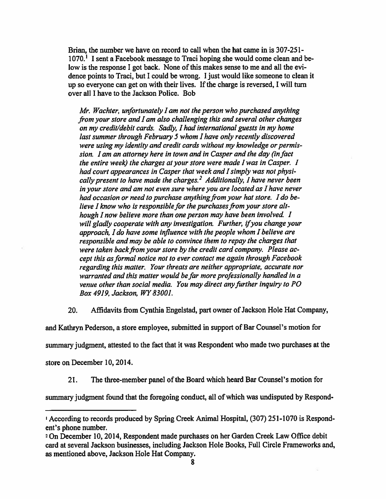Brian, the number we have on record to call when the hat came in is 307-251-1070.<sup>1</sup> I sent a Facebook message to Traci hoping she would come clean and below is the response I got back. None of this makes sense to me and all the evidence points to Traci, but I could be wrong. I just would like someone to clean it up so everyone can get on with their lives. If the charge is reversed, I will turn over all I have to the Jackson Police. Bob

Mr. Wachter, unfortunately I am not the person who purchased anything from your store and I am also challenging this and several other changes on my credit/debit cards. Sadly, I had international guests in my home last summer through February 5 whom I have only recently discovered were using my identity and credit cards without my knowledge or permission. I am an attorney here in town and in Casper and the day (in fact the entire week) the charges at your store were made I was in Casper. I had court appearances in Casper that week and I simply was not physically present to have made the charges.<sup>2</sup> Additionally, I have never been in your store and am not even sure where you are located as I have never had occasion or need to purchase anything from your hat store. I do believe I know who is responsible for the purchases from your store although I now believe more than one person may have been involved. I will gladly cooperate with any investigation. Further, if you change your approach, I do have some influence with the people whom I believe are responsible and may be able to convince them to repay the charges that were taken back from your store by the credit card company. Please accept this as formal notice not to ever contact me again through Facebook regarding this matter. Your threats are neither appropriate, accurate nor warranted and this matter would be far more professionally handled in a venue other than social media. You may direct any further inquiry to PO Box 4919, Jackson, WY 83001.

Affidavits from Cynthia Engelstad, part owner of Jackson Hole Hat Company, 20.

and Kathryn Pederson, a store employee, submitted in support of Bar Counsel's motion for

summary judgment, attested to the fact that it was Respondent who made two purchases at the

store on December 10, 2014.

The three-member panel of the Board which heard Bar Counsel's motion for 21.

summary judgment found that the foregoing conduct, all of which was undisputed by Respond-

<sup>&</sup>lt;sup>1</sup> According to records produced by Spring Creek Animal Hospital, (307) 251-1070 is Respondent's phone number.

<sup>&</sup>lt;sup>2</sup> On December 10, 2014, Respondent made purchases on her Garden Creek Law Office debit card at several Jackson businesses, including Jackson Hole Books, Full Circle Frameworks and, as mentioned above, Jackson Hole Hat Company.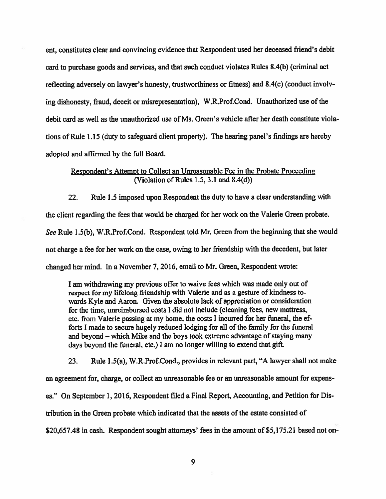ent, constitutes clear and convincing evidence that Respondent used her deceased friend's debit card to purchase goods and services, and that such conduct violates Rules 8.4(b) (criminal act reflecting adversely on lawyer's honesty, trustworthiness or fitness) and 8.4(c) (conduct involving dishonesty, fraud, deceit or misrepresentation), W.R.Prof.Cond. Unauthorized use of the debit card as well as the unauthorized use of Ms. Green's vehicle after her death constitute violations of Rule 1.15 (duty to safeguard client property). The hearing panel's findings are hereby adopted and affirmed by the full Board.

### Respondent's Attempt to Collect an Unreasonable Fee in the Probate Proceeding (Violation of Rules 1.5, 3.1 and  $8.4(d)$ )

 $22.$ Rule 1.5 imposed upon Respondent the duty to have a clear understanding with the client regarding the fees that would be charged for her work on the Valerie Green probate. See Rule 1.5(b), W.R.Prof.Cond. Respondent told Mr. Green from the beginning that she would not charge a fee for her work on the case, owing to her friendship with the decedent, but later changed her mind. In a November 7, 2016, email to Mr. Green, Respondent wrote:

I am withdrawing my previous offer to waive fees which was made only out of respect for my lifelong friendship with Valerie and as a gesture of kindness towards Kyle and Aaron. Given the absolute lack of appreciation or consideration for the time, unreimbursed costs I did not include (cleaning fees, new mattress, etc. from Valerie passing at my home, the costs I incurred for her funeral, the efforts I made to secure hugely reduced lodging for all of the family for the funeral and beyond – which Mike and the boys took extreme advantage of staying many days beyond the funeral, etc.) I am no longer willing to extend that gift.

 $23.$ Rule 1.5(a), W.R.Prof.Cond., provides in relevant part, "A lawyer shall not make

an agreement for, charge, or collect an unreasonable fee or an unreasonable amount for expens-

es." On September 1, 2016, Respondent filed a Final Report, Accounting, and Petition for Dis-

tribution in the Green probate which indicated that the assets of the estate consisted of

\$20,657.48 in cash. Respondent sought attorneys' fees in the amount of \$5,175.21 based not on-

9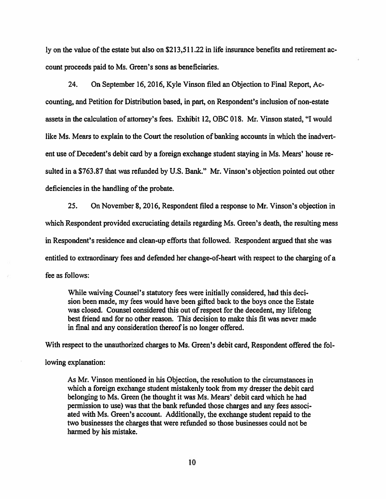ly on the value of the estate but also on \$213,511,22 in life insurance benefits and retirement account proceeds paid to Ms. Green's sons as beneficiaries.

24. On September 16, 2016, Kyle Vinson filed an Objection to Final Report, Accounting, and Petition for Distribution based, in part, on Respondent's inclusion of non-estate assets in the calculation of attorney's fees. Exhibit 12, OBC 018. Mr. Vinson stated, "I would like Ms. Mears to explain to the Court the resolution of banking accounts in which the inadvertent use of Decedent's debit card by a foreign exchange student staying in Ms. Mears' house resulted in a \$763.87 that was refunded by U.S. Bank." Mr. Vinson's objection pointed out other deficiencies in the handling of the probate.

 $25.$ On November 8, 2016, Respondent filed a response to Mr. Vinson's objection in which Respondent provided excruciating details regarding Ms. Green's death, the resulting mess in Respondent's residence and clean-up efforts that followed. Respondent argued that she was entitled to extraordinary fees and defended her change-of-heart with respect to the charging of a fee as follows:

While waiving Counsel's statutory fees were initially considered, had this decision been made, my fees would have been gifted back to the boys once the Estate was closed. Counsel considered this out of respect for the decedent, my lifelong best friend and for no other reason. This decision to make this fit was never made in final and any consideration thereof is no longer offered.

With respect to the unauthorized charges to Ms. Green's debit card, Respondent offered the fol-

lowing explanation:

As Mr. Vinson mentioned in his Objection, the resolution to the circumstances in which a foreign exchange student mistakenly took from my dresser the debit card belonging to Ms. Green (he thought it was Ms. Mears' debit card which he had permission to use) was that the bank refunded those charges and any fees associated with Ms. Green's account. Additionally, the exchange student repaid to the two businesses the charges that were refunded so those businesses could not be harmed by his mistake.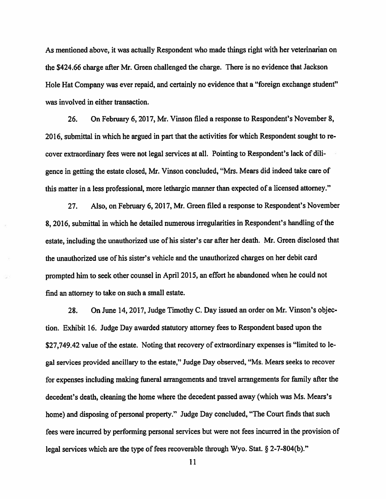As mentioned above, it was actually Respondent who made things right with her veterinarian on the \$424.66 charge after Mr. Green challenged the charge. There is no evidence that Jackson Hole Hat Company was ever repaid, and certainly no evidence that a "foreign exchange student" was involved in either transaction.

On February 6, 2017, Mr. Vinson filed a response to Respondent's November 8, 26. 2016, submittal in which he argued in part that the activities for which Respondent sought to recover extraordinary fees were not legal services at all. Pointing to Respondent's lack of diligence in getting the estate closed, Mr. Vinson concluded, "Mrs. Mears did indeed take care of this matter in a less professional, more lethargic manner than expected of a licensed attorney."

27. Also, on February 6, 2017, Mr. Green filed a response to Respondent's November 8, 2016, submittal in which he detailed numerous irregularities in Respondent's handling of the estate, including the unauthorized use of his sister's car after her death. Mr. Green disclosed that the unauthorized use of his sister's vehicle and the unauthorized charges on her debit card prompted him to seek other counsel in April 2015, an effort he abandoned when he could not find an attorney to take on such a small estate.

28. On June 14, 2017, Judge Timothy C. Day issued an order on Mr. Vinson's objection. Exhibit 16. Judge Day awarded statutory attorney fees to Respondent based upon the \$27,749.42 value of the estate. Noting that recovery of extraordinary expenses is "limited to legal services provided ancillary to the estate," Judge Day observed, "Ms. Mears seeks to recover for expenses including making funeral arrangements and travel arrangements for family after the decedent's death, cleaning the home where the decedent passed away (which was Ms. Mears's home) and disposing of personal property." Judge Day concluded, "The Court finds that such fees were incurred by performing personal services but were not fees incurred in the provision of legal services which are the type of fees recoverable through Wyo. Stat. § 2-7-804(b)."

11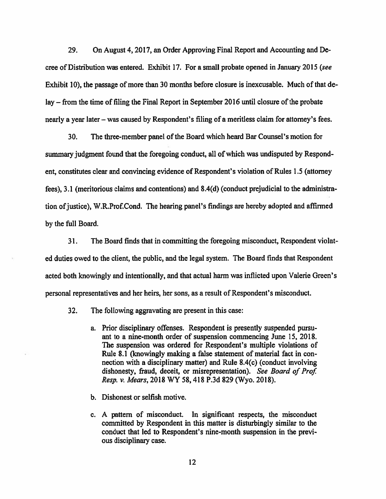29. On August 4, 2017, an Order Approving Final Report and Accounting and Decree of Distribution was entered. Exhibit 17. For a small probate opened in January 2015 (see Exhibit 10), the passage of more than 30 months before closure is inexcusable. Much of that delay – from the time of filing the Final Report in September 2016 until closure of the probate nearly a year later – was caused by Respondent's filing of a meritiess claim for attorney's fees.

 $30<sub>1</sub>$ The three-member panel of the Board which heard Bar Counsel's motion for summary judgment found that the foregoing conduct, all of which was undisputed by Respondent, constitutes clear and convincing evidence of Respondent's violation of Rules 1.5 (attorney fees), 3.1 (meritorious claims and contentions) and 8.4(d) (conduct prejudicial to the administration of justice), W.R.Prof.Cond. The hearing panel's findings are hereby adopted and affirmed by the full Board.

The Board finds that in committing the foregoing misconduct, Respondent violat-31. ed duties owed to the client, the public, and the legal system. The Board finds that Respondent acted both knowingly and intentionally, and that actual harm was inflicted upon Valerie Green's personal representatives and her heirs, her sons, as a result of Respondent's misconduct.

- $32.$ The following aggravating are present in this case:
	- a. Prior disciplinary offenses. Respondent is presently suspended pursuant to a nine-month order of suspension commencing June 15, 2018. The suspension was ordered for Respondent's multiple violations of Rule 8.1 (knowingly making a false statement of material fact in connection with a disciplinary matter) and Rule 8.4(c) (conduct involving dishonesty, fraud, deceit, or misrepresentation). See Board of Prof. Resp. v. Mears, 2018 WY 58, 418 P.3d 829 (Wyo. 2018).
	- b. Dishonest or selfish motive.
	- c. A pattern of misconduct. In significant respects, the misconduct committed by Respondent in this matter is disturbingly similar to the conduct that led to Respondent's nine-month suspension in the previous disciplinary case.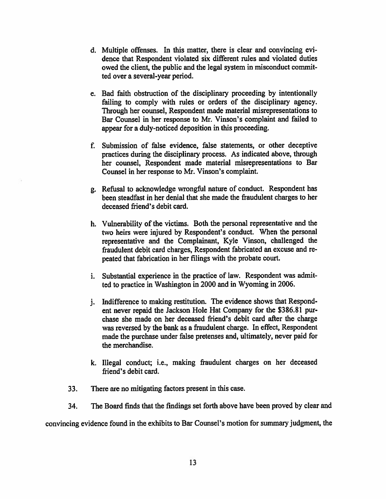- d. Multiple offenses. In this matter, there is clear and convincing evidence that Respondent violated six different rules and violated duties owed the client, the public and the legal system in misconduct committed over a several-year period.
- e. Bad faith obstruction of the disciplinary proceeding by intentionally failing to comply with rules or orders of the disciplinary agency. Through her counsel, Respondent made material misrepresentations to Bar Counsel in her response to Mr. Vinson's complaint and failed to appear for a duly-noticed deposition in this proceeding.
- f. Submission of false evidence, false statements, or other deceptive practices during the disciplinary process. As indicated above, through her counsel, Respondent made material misrepresentations to Bar Counsel in her response to Mr. Vinson's complaint.
- g. Refusal to acknowledge wrongful nature of conduct. Respondent has been steadfast in her denial that she made the fraudulent charges to her deceased friend's debit card.
- h. Vulnerability of the victims. Both the personal representative and the two heirs were injured by Respondent's conduct. When the personal representative and the Complainant, Kyle Vinson, challenged the fraudulent debit card charges, Respondent fabricated an excuse and repeated that fabrication in her filings with the probate court.
- i. Substantial experience in the practice of law. Respondent was admitted to practice in Washington in 2000 and in Wyoming in 2006.
- *i.* Indifference to making restitution. The evidence shows that Respondent never repaid the Jackson Hole Hat Company for the \$386.81 purchase she made on her deceased friend's debit card after the charge was reversed by the bank as a fraudulent charge. In effect, Respondent made the purchase under false pretenses and, ultimately, never paid for the merchandise.
- k. Illegal conduct; i.e., making fraudulent charges on her deceased friend's debit card.
- 33. There are no mitigating factors present in this case.
- 34. The Board finds that the findings set forth above have been proved by clear and

convincing evidence found in the exhibits to Bar Counsel's motion for summary judgment, the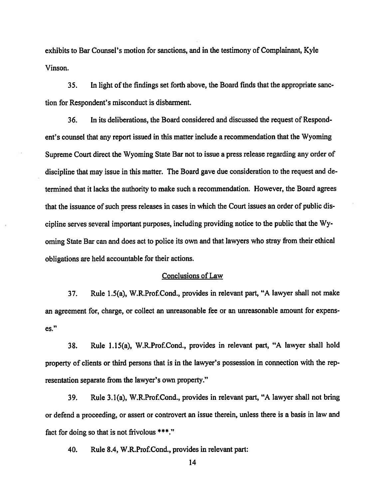exhibits to Bar Counsel's motion for sanctions, and in the testimony of Complainant, Kyle Vinson.

In light of the findings set forth above, the Board finds that the appropriate sanc-35. tion for Respondent's misconduct is disbarment.

36. In its deliberations, the Board considered and discussed the request of Respondent's counsel that any report issued in this matter include a recommendation that the Wyoming Supreme Court direct the Wyoming State Bar not to issue a press release regarding any order of discipline that may issue in this matter. The Board gave due consideration to the request and determined that it lacks the authority to make such a recommendation. However, the Board agrees that the issuance of such press releases in cases in which the Court issues an order of public discipline serves several important purposes, including providing notice to the public that the Wyoming State Bar can and does act to police its own and that lawyers who stray from their ethical obligations are held accountable for their actions.

#### Conclusions of Law

37. Rule 1.5(a), W.R.Prof.Cond., provides in relevant part, "A lawyer shall not make an agreement for, charge, or collect an unreasonable fee or an unreasonable amount for expens $es."$ 

38. Rule 1.15(a), W.R.Prof.Cond., provides in relevant part, "A lawyer shall hold property of clients or third persons that is in the lawyer's possession in connection with the representation separate from the lawyer's own property."

Rule 3.1(a), W.R.Prof.Cond., provides in relevant part, "A lawyer shall not bring 39. or defend a proceeding, or assert or controvert an issue therein, unless there is a basis in law and fact for doing so that is not frivolous \*\*\*."

Rule 8.4, W.R.Prof.Cond., provides in relevant part: 40.

 $14$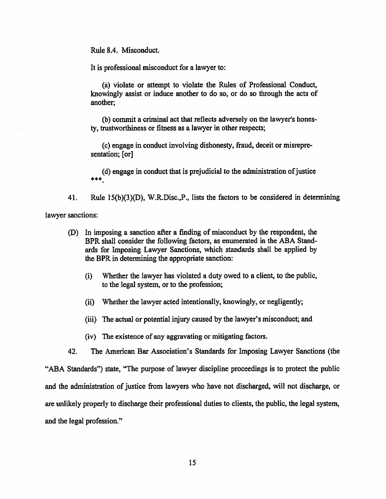Rule 8.4. Misconduct.

It is professional misconduct for a lawyer to:

(a) violate or attempt to violate the Rules of Professional Conduct, knowingly assist or induce another to do so, or do so through the acts of another:

(b) commit a criminal act that reflects adversely on the lawyer's honesty, trustworthiness or fitness as a lawyer in other respects;

(c) engage in conduct involving dishonesty, fraud, deceit or misrepresentation; [or]

(d) engage in conduct that is prejudicial to the administration of justice 电电电

Rule 15(b)(3)(D), W.R.Disc., P., lists the factors to be considered in determining 41. lawyer sanctions:

- (D) In imposing a sanction after a finding of misconduct by the respondent, the BPR shall consider the following factors, as enumerated in the ABA Standards for Imposing Lawyer Sanctions, which standards shall be applied by the BPR in determining the appropriate sanction:
	- Whether the lawyer has violated a duty owed to a client, to the public,  $(i)$ to the legal system, or to the profession;
	- (ii) Whether the lawyer acted intentionally, knowingly, or negligently;
	- (iii) The actual or potential injury caused by the lawyer's misconduct; and

(iv) The existence of any aggravating or mitigating factors.

42. The American Bar Association's Standards for Imposing Lawyer Sanctions (the

"ABA Standards") state, "The purpose of lawyer discipline proceedings is to protect the public and the administration of justice from lawyers who have not discharged, will not discharge, or are unlikely properly to discharge their professional duties to clients, the public, the legal system, and the legal profession."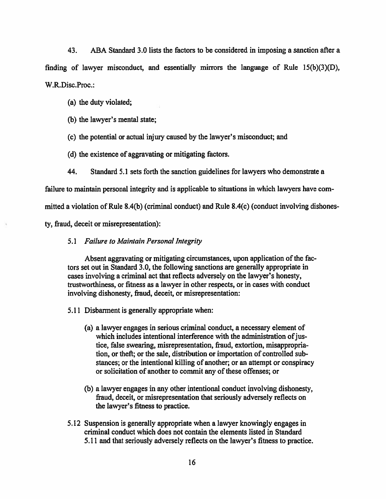ABA Standard 3.0 lists the factors to be considered in imposing a sanction after a 43. finding of lawyer misconduct, and essentially mirrors the language of Rule  $15(b)(3)(D)$ , W.R.Disc.Proc.:

- (a) the duty violated;
- (b) the lawyer's mental state;
- (c) the potential or actual injury caused by the lawyer's misconduct; and
- (d) the existence of aggravating or mitigating factors.
- Standard 5.1 sets forth the sanction guidelines for lawyers who demonstrate a 44.

failure to maintain personal integrity and is applicable to situations in which lawyers have com-

mitted a violation of Rule 8.4(b) (criminal conduct) and Rule 8.4(c) (conduct involving dishones-

ty, fraud, deceit or misrepresentation):

5.1 Failure to Maintain Personal Integrity

Absent aggravating or mitigating circumstances, upon application of the factors set out in Standard 3.0, the following sanctions are generally appropriate in cases involving a criminal act that reflects adversely on the lawyer's honesty, trustworthiness, or fitness as a lawyer in other respects, or in cases with conduct involving dishonesty, fraud, deceit, or misrepresentation:

- 5.11 Disbarment is generally appropriate when:
	- (a) a lawyer engages in serious criminal conduct, a necessary element of which includes intentional interference with the administration of justice, false swearing, misrepresentation, fraud, extortion, misappropriation, or theft; or the sale, distribution or importation of controlled substances; or the intentional killing of another; or an attempt or conspiracy or solicitation of another to commit any of these offenses; or
	- (b) a lawyer engages in any other intentional conduct involving dishonesty, fraud, deceit, or misrepresentation that seriously adversely reflects on the lawyer's fitness to practice.
- 5.12 Suspension is generally appropriate when a lawyer knowingly engages in criminal conduct which does not contain the elements listed in Standard 5.11 and that seriously adversely reflects on the lawyer's fitness to practice.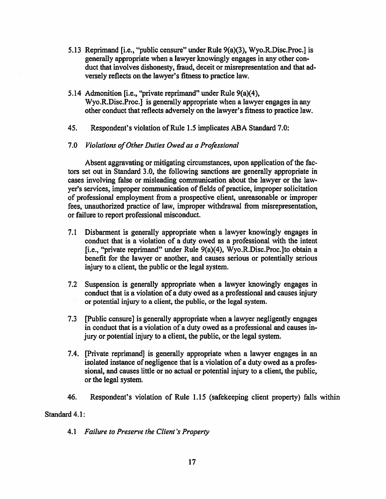- 5.13 Reprimand [i.e., "public censure" under Rule 9(a)(3), Wyo.R.Disc.Proc.] is generally appropriate when a lawyer knowingly engages in any other conduct that involves dishonesty, fraud, deceit or misrepresentation and that adversely reflects on the lawyer's fitness to practice law.
- 5.14 Admonition [i.e., "private reprimand" under Rule 9(a)(4), Wyo.R.Disc.Proc. is generally appropriate when a lawyer engages in any other conduct that reflects adversely on the lawyer's fitness to practice law.
- 45. Respondent's violation of Rule 1.5 implicates ABA Standard 7.0:

#### $7.0$ Violations of Other Duties Owed as a Professional

Absent aggravating or mitigating circumstances, upon application of the factors set out in Standard 3.0, the following sanctions are generally appropriate in cases involving false or misleading communication about the lawyer or the lawyer's services, improper communication of fields of practice, improper solicitation of professional employment from a prospective client, unreasonable or improper fees, unauthorized practice of law, improper withdrawal from misrepresentation, or failure to report professional misconduct.

- 7.1 Disbarment is generally appropriate when a lawyer knowingly engages in conduct that is a violation of a duty owed as a professional with the intent [i.e., "private reprimand" under Rule 9(a)(4), Wyo.R.Disc.Proc.] to obtain a benefit for the lawyer or another, and causes serious or potentially serious injury to a client, the public or the legal system.
- 7.2 Suspension is generally appropriate when a lawyer knowingly engages in conduct that is a violation of a duty owed as a professional and causes injury or potential injury to a client, the public, or the legal system.
- 7.3 [Public censure] is generally appropriate when a lawyer negligently engages in conduct that is a violation of a duty owed as a professional and causes injury or potential injury to a client, the public, or the legal system.
- 7.4. [Private reprimand] is generally appropriate when a lawyer engages in an isolated instance of negligence that is a violation of a duty owed as a professional, and causes little or no actual or potential injury to a client, the public, or the legal system.
- 46. Respondent's violation of Rule 1.15 (safekeeping client property) falls within

#### Standard 4.1:

4.1 Failure to Preserve the Client's Property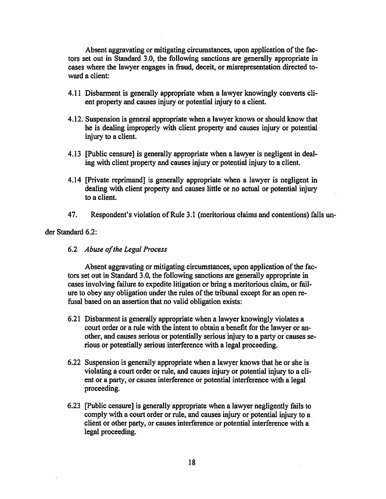Absent aggravating or mitigating circumstances, upon application of the factors set out in Standard 3.0, the following sanctions are generally appropriate in cases where the lawyer engages in fraud, deceit, or misrepresentation directed toward a client:

- 4.11 Disbarment is generally appropriate when a lawyer knowingly converts client property and causes injury or potential injury to a client.
- 4.12. Suspension is general appropriate when a lawyer knows or should know that he is dealing improperly with client property and causes injury or potential injury to a client.
- 4.13 [Public censure] is generally appropriate when a lawyer is negligent in dealing with client property and causes injury or potential injury to a client.
- 4.14 [Private reprimand] is generally appropriate when a lawyer is negligent in dealing with client property and causes little or no actual or potential injury to a client.
- 47. Respondent's violation of Rule 3.1 (meritorious claims and contentions) falls un-

### der Standard 6.2:

6.2 Abuse of the Legal Process

Absent aggravating or mitigating circumstances, upon application of the factors set out in Standard 3.0, the following sanctions are generally appropriate in cases involving failure to expedite litigation or bring a meritorious claim, or failure to obey any obligation under the rules of the tribunal except for an open refusal based on an assertion that no valid obligation exists:

- 6.21 Disbarment is generally appropriate when a lawyer knowingly violates a court order or a rule with the intent to obtain a benefit for the lawyer or another, and causes serious or potentially serious injury to a party or causes serious or potentially serious interference with a legal proceeding.
- 6.22 Suspension is generally appropriate when a lawyer knows that he or she is violating a court order or rule, and causes injury or potential injury to a client or a party, or causes interference or potential interference with a legal proceeding.
- 6.23 [Public censure] is generally appropriate when a lawyer negligently fails to comply with a court order or rule, and causes injury or potential injury to a client or other party, or causes interference or potential interference with a legal proceeding.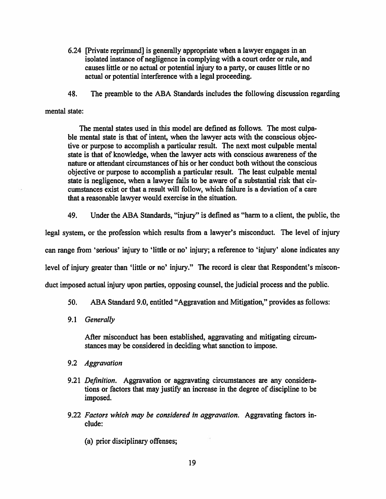- 6.24 [Private reprimand] is generally appropriate when a lawyer engages in an isolated instance of negligence in complying with a court order or rule, and causes little or no actual or potential injury to a party, or causes little or no actual or potential interference with a legal proceeding.
- 48. The preamble to the ABA Standards includes the following discussion regarding

#### mental state:

The mental states used in this model are defined as follows. The most culpable mental state is that of intent, when the lawyer acts with the conscious objective or purpose to accomplish a particular result. The next most culpable mental state is that of knowledge, when the lawyer acts with conscious awareness of the nature or attendant circumstances of his or her conduct both without the conscious objective or purpose to accomplish a particular result. The least culpable mental state is negligence, when a lawyer fails to be aware of a substantial risk that circumstances exist or that a result will follow, which failure is a deviation of a care that a reasonable lawyer would exercise in the situation.

49. Under the ABA Standards, "injury" is defined as "harm to a client, the public, the

legal system, or the profession which results from a lawyer's misconduct. The level of injury can range from 'serious' injury to 'little or no' injury; a reference to 'injury' alone indicates any level of injury greater than 'little or no' injury." The record is clear that Respondent's misconduct imposed actual injury upon parties, opposing counsel, the judicial process and the public.

- ABA Standard 9.0, entitled "Aggravation and Mitigation," provides as follows: 50.
- 9.1 Generally

After misconduct has been established, aggravating and mitigating circumstances may be considered in deciding what sanction to impose.

- 9.2 Aggravation
- 9.21 Definition. Aggravation or aggravating circumstances are any considerations or factors that may justify an increase in the degree of discipline to be imposed.
- 9.22 Factors which may be considered in aggravation. Aggravating factors include:
	- (a) prior disciplinary offenses;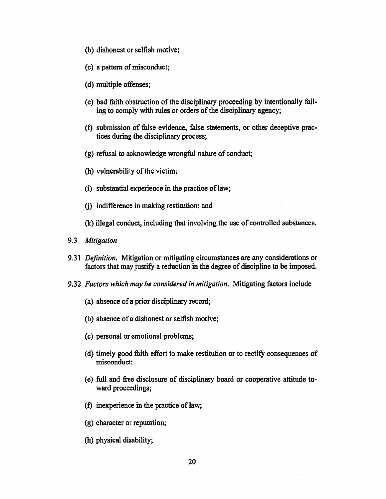- (b) dishonest or selfish motive;
- (c) a pattern of misconduct;
- (d) multiple offenses;
- (e) bad faith obstruction of the disciplinary proceeding by intentionally failing to comply with rules or orders of the disciplinary agency;
- (f) submission of false evidence, false statements, or other deceptive practices during the disciplinary process;
- (g) refusal to acknowledge wrongful nature of conduct;
- (h) vulnerability of the victim;
- (i) substantial experience in the practice of law;
- (i) indifference in making restitution; and
- (k) illegal conduct, including that involving the use of controlled substances.
- 9.3 Mitigation
- 9.31 Definition. Mitigation or mitigating circumstances are any considerations or factors that may justify a reduction in the degree of discipline to be imposed.
- 9.32 Factors which may be considered in mitigation. Mitigating factors include
	- (a) absence of a prior disciplinary record;
	- (b) absence of a dishonest or selfish motive;
	- (c) personal or emotional problems;
	- (d) timely good faith effort to make restitution or to rectify consequences of misconduct:
	- (e) full and free disclosure of disciplinary board or cooperative attitude toward proceedings;
	- (f) inexperience in the practice of law;
	- (g) character or reputation;
	- (h) physical disability;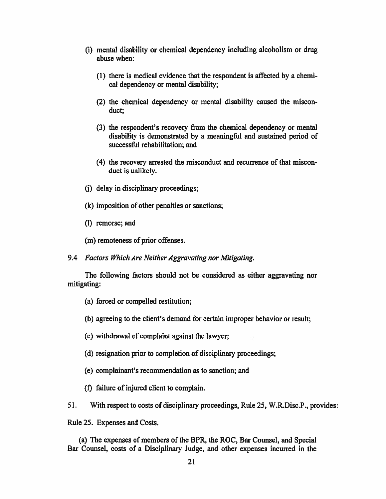- (i) mental disability or chemical dependency including alcoholism or drug abuse when:
	- (1) there is medical evidence that the respondent is affected by a chemical dependency or mental disability;
	- (2) the chemical dependency or mental disability caused the misconduct:
	- (3) the respondent's recovery from the chemical dependency or mental disability is demonstrated by a meaningful and sustained period of successful rehabilitation; and
	- (4) the recovery arrested the misconduct and recurrence of that misconduct is unlikely.
- (i) delay in disciplinary proceedings;
- (k) imposition of other penalties or sanctions;
- (1) remorse; and

(m) remoteness of prior offenses.

9.4 Factors Which Are Neither Aggravating nor Mitigating.

The following factors should not be considered as either aggravating nor mitigating:

- (a) forced or compelled restitution;
- (b) agreeing to the client's demand for certain improper behavior or result;
- (c) withdrawal of complaint against the lawyer;
- (d) resignation prior to completion of disciplinary proceedings;
- (e) complainant's recommendation as to sanction; and
- (f) failure of injured client to complain.
- 51. With respect to costs of disciplinary proceedings, Rule 25, W.R.Disc.P., provides:

Rule 25. Expenses and Costs.

(a) The expenses of members of the BPR, the ROC, Bar Counsel, and Special Bar Counsel, costs of a Disciplinary Judge, and other expenses incurred in the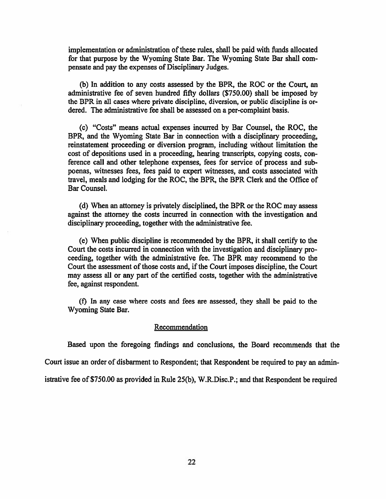implementation or administration of these rules, shall be paid with funds allocated for that purpose by the Wyoming State Bar. The Wyoming State Bar shall compensate and pay the expenses of Disciplinary Judges.

(b) In addition to any costs assessed by the BPR, the ROC or the Court, an administrative fee of seven hundred fifty dollars (\$750.00) shall be imposed by the BPR in all cases where private discipline, diversion, or public discipline is ordered. The administrative fee shall be assessed on a per-complaint basis.

(c) "Costs" means actual expenses incurred by Bar Counsel, the ROC, the BPR, and the Wyoming State Bar in connection with a disciplinary proceeding. reinstatement proceeding or diversion program, including without limitation the cost of depositions used in a proceeding, hearing transcripts, copying costs, conference call and other telephone expenses, fees for service of process and subpoenas, witnesses fees, fees paid to expert witnesses, and costs associated with travel, meals and lodging for the ROC, the BPR, the BPR Clerk and the Office of Bar Counsel.

(d) When an attorney is privately disciplined, the BPR or the ROC may assess against the attorney the costs incurred in connection with the investigation and disciplinary proceeding, together with the administrative fee.

(e) When public discipline is recommended by the BPR, it shall certify to the Court the costs incurred in connection with the investigation and disciplinary proceeding, together with the administrative fee. The BPR may recommend to the Court the assessment of those costs and, if the Court imposes discipline, the Court may assess all or any part of the certified costs, together with the administrative fee, against respondent.

(f) In any case where costs and fees are assessed, they shall be paid to the Wyoming State Bar.

#### Recommendation

Based upon the foregoing findings and conclusions, the Board recommends that the

Court issue an order of disbarment to Respondent; that Respondent be required to pay an admin-

istrative fee of \$750.00 as provided in Rule 25(b), W.R.Disc.P.; and that Respondent be required